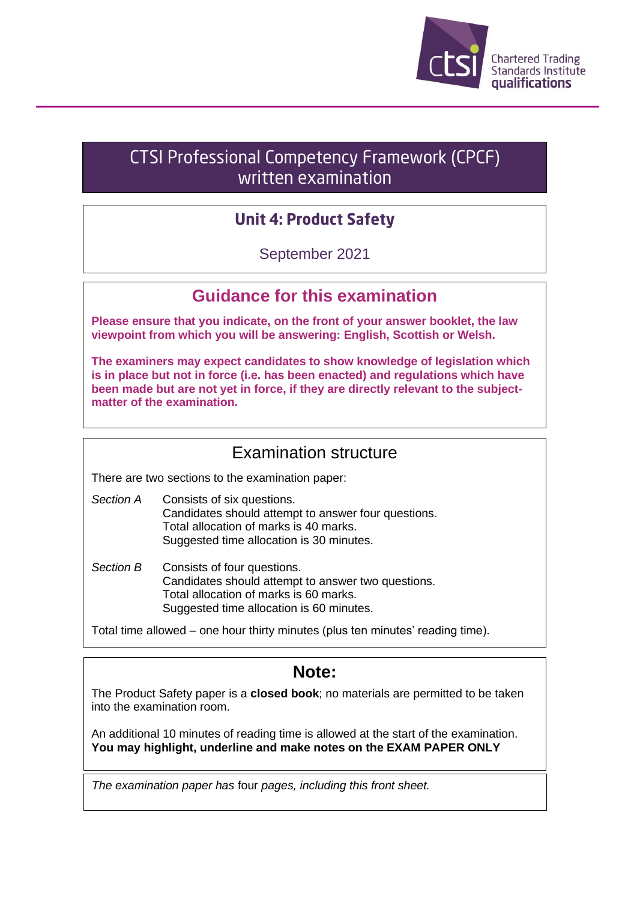

# CTSI Professional Competency Framework (CPCF) written examination

## **Unit 4: Product Safety**

September 2021

### **Guidance for this examination**

**Please ensure that you indicate, on the front of your answer booklet, the law viewpoint from which you will be answering: English, Scottish or Welsh.**

**The examiners may expect candidates to show knowledge of legislation which is in place but not in force (i.e. has been enacted) and regulations which have been made but are not yet in force, if they are directly relevant to the subjectmatter of the examination.**

### Examination structure

There are two sections to the examination paper:

- *Section A* Consists of six questions. Candidates should attempt to answer four questions. Total allocation of marks is 40 marks. Suggested time allocation is 30 minutes.
- *Section B* Consists of four questions. Candidates should attempt to answer two questions. Total allocation of marks is 60 marks. Suggested time allocation is 60 minutes.

Total time allowed – one hour thirty minutes (plus ten minutes' reading time).

### **Note:**

The Product Safety paper is a **closed book**; no materials are permitted to be taken into the examination room.

An additional 10 minutes of reading time is allowed at the start of the examination. **You may highlight, underline and make notes on the EXAM PAPER ONLY**

*The examination paper has* four *pages, including this front sheet.*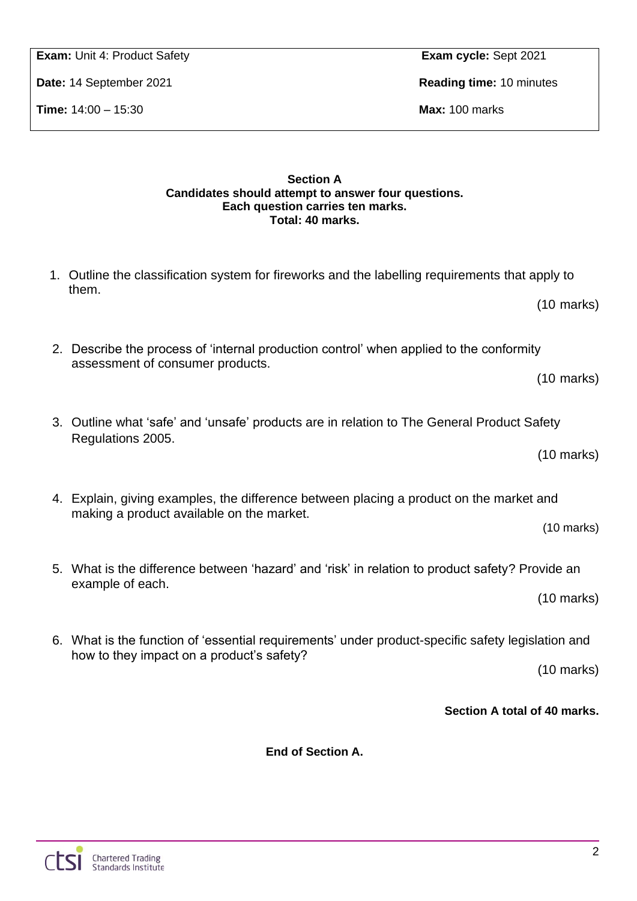**Date:** 14 September 2021 **Reading time:** 10 minutes

**Time:** 14:00 – 15:30 **Max:** 100 marks

#### **Section A Candidates should attempt to answer four questions. Each question carries ten marks. Total: 40 marks.**

**Exam:** Unit 4: Product Safety **Exam cycle:** Sept 2021

- 1. Outline the classification system for fireworks and the labelling requirements that apply to them. (10 marks)
- 2. Describe the process of 'internal production control' when applied to the conformity assessment of consumer products.

(10 marks)

3. Outline what 'safe' and 'unsafe' products are in relation to The General Product Safety Regulations 2005.

(10 marks)

4. Explain, giving examples, the difference between placing a product on the market and making a product available on the market.

(10 marks)

5. What is the difference between 'hazard' and 'risk' in relation to product safety? Provide an example of each.

(10 marks)

6. What is the function of 'essential requirements' under product-specific safety legislation and how to they impact on a product's safety?

(10 marks)

**Section A total of 40 marks.**

**End of Section A.**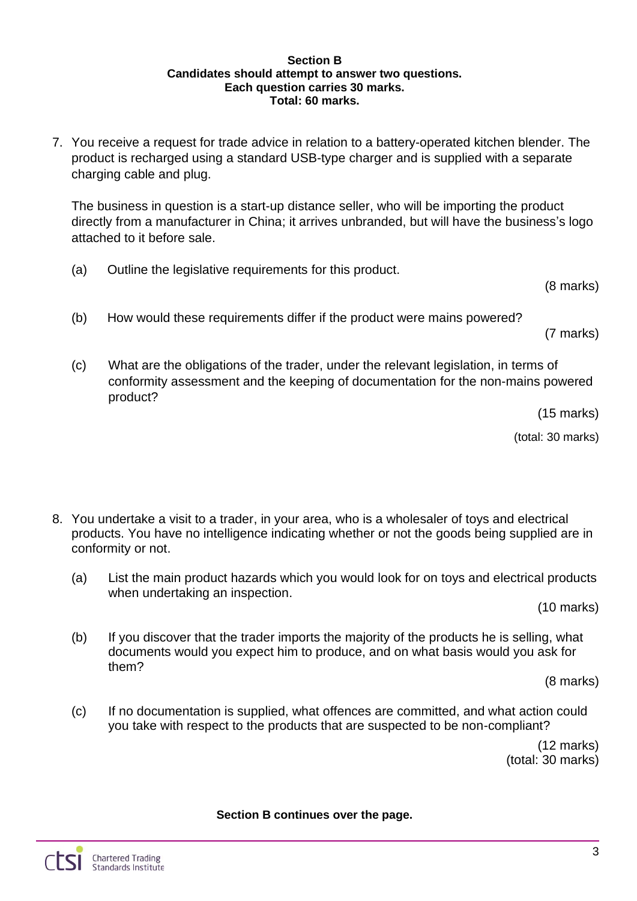#### **Section B Candidates should attempt to answer two questions. Each question carries 30 marks. Total: 60 marks.**

7. You receive a request for trade advice in relation to a battery-operated kitchen blender. The product is recharged using a standard USB-type charger and is supplied with a separate charging cable and plug.

The business in question is a start-up distance seller, who will be importing the product directly from a manufacturer in China; it arrives unbranded, but will have the business's logo attached to it before sale.

(a) Outline the legislative requirements for this product.

(8 marks)

(b) How would these requirements differ if the product were mains powered?

(7 marks)

(c) What are the obligations of the trader, under the relevant legislation, in terms of conformity assessment and the keeping of documentation for the non-mains powered product?

(15 marks)

(total: 30 marks)

- 8. You undertake a visit to a trader, in your area, who is a wholesaler of toys and electrical products. You have no intelligence indicating whether or not the goods being supplied are in conformity or not.
	- (a) List the main product hazards which you would look for on toys and electrical products when undertaking an inspection.

(10 marks)

(b) If you discover that the trader imports the majority of the products he is selling, what documents would you expect him to produce, and on what basis would you ask for them?

(8 marks)

(c) If no documentation is supplied, what offences are committed, and what action could you take with respect to the products that are suspected to be non-compliant?

> (12 marks) (total: 30 marks)

**Section B continues over the page.**